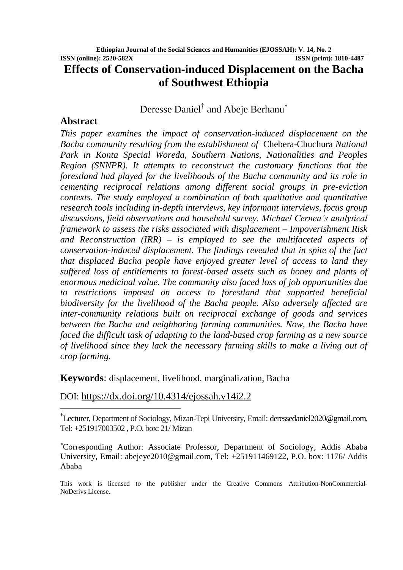#### **ISSN (online): 2520-582X ISSN (print): 1810-4487**

# **Effects of Conservation-induced Displacement on the Bacha of Southwest Ethiopia**

Deresse Daniel<sup>†</sup> and Abeje Berhanu<sup>\*</sup>

# **Abstract**

 $\overline{a}$ 

*This paper examines the impact of conservation-induced displacement on the Bacha community resulting from the establishment of* Chebera-Chuchura *National Park in Konta Special Woreda, Southern Nations, Nationalities and Peoples Region (SNNPR). It attempts to reconstruct the customary functions that the forestland had played for the livelihoods of the Bacha community and its role in cementing reciprocal relations among different social groups in pre-eviction contexts. The study employed a combination of both qualitative and quantitative research tools including in-depth interviews, key informant interviews, focus group discussions, field observations and household survey. Michael Cernea's analytical framework to assess the risks associated with displacement – Impoverishment Risk and Reconstruction (IRR) – is employed to see the multifaceted aspects of conservation-induced displacement. The findings revealed that in spite of the fact that displaced Bacha people have enjoyed greater level of access to land they suffered loss of entitlements to forest-based assets such as honey and plants of enormous medicinal value. The community also faced loss of job opportunities due to restrictions imposed on access to forestland that supported beneficial biodiversity for the livelihood of the Bacha people. Also adversely affected are inter-community relations built on reciprocal exchange of goods and services between the Bacha and neighboring farming communities. Now, the Bacha have faced the difficult task of adapting to the land-based crop farming as a new source of livelihood since they lack the necessary farming skills to make a living out of crop farming.* 

**Keywords**: displacement, livelihood, marginalization, Bacha

DOI: <https://dx.doi.org/10.4314/ejossah.v14i2.2>

† Lecturer, Department of Sociology, Mizan-Tepi University, Email[: deressedaniel2020@gmail.com,](mailto:deressedaniel2020@gmail.com) Tel: +251917003502 , P.O. box: 21/ Mizan

Corresponding Author: Associate Professor, Department of Sociology, Addis Ababa University, Email: [abejeye2010@gmail.com,](mailto:abejeye2010@gmail.com) Tel: [+251911469122,](Tel:+251911963305) P.O. box: 1176/ Addis Ababa

This work is licensed to the publisher under the Creative Commons Attribution-NonCommercial-NoDerivs License.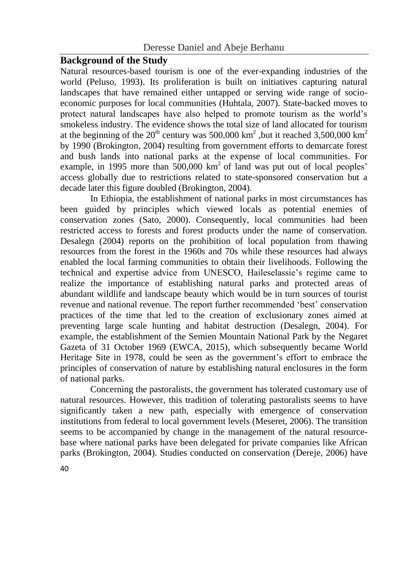# **Background of the Study**

Natural resources-based tourism is one of the ever-expanding industries of the world (Peluso, 1993). Its proliferation is built on initiatives capturing natural landscapes that have remained either untapped or serving wide range of socioeconomic purposes for local communities (Huhtala, 2007). State-backed moves to protect natural landscapes have also helped to promote tourism as the world's smokeless industry. The evidence shows the total size of land allocated for tourism at the beginning of the 20<sup>th</sup> century was 500,000 km<sup>2</sup>, but it reached 3,500,000 km<sup>2</sup> by 1990 (Brokington, 2004) resulting from government efforts to demarcate forest and bush lands into national parks at the expense of local communities. For example, in 1995 more than  $500,000 \text{ km}^2$  of land was put out of local peoples' access globally due to restrictions related to state-sponsored conservation but a decade later this figure doubled (Brokington, 2004).

In Ethiopia, the establishment of national parks in most circumstances has been guided by principles which viewed locals as potential enemies of conservation zones (Sato, 2000). Consequently, local communities had been restricted access to forests and forest products under the name of conservation. Desalegn (2004) reports on the prohibition of local population from thawing resources from the forest in the 1960s and 70s while these resources had always enabled the local farming communities to obtain their livelihoods. Following the technical and expertise advice from UNESCO, Haileselassie's regime came to realize the importance of establishing natural parks and protected areas of abundant wildlife and landscape beauty which would be in turn sources of tourist revenue and national revenue. The report further recommended ‗best' conservation practices of the time that led to the creation of exclusionary zones aimed at preventing large scale hunting and habitat destruction (Desalegn, 2004). For example, the establishment of the Semien Mountain National Park by the Negaret Gazeta of 31 October 1969 (EWCA, 2015), which subsequently became World Heritage Site in 1978, could be seen as the government's effort to embrace the principles of conservation of nature by establishing natural enclosures in the form of national parks.

Concerning the pastoralists, the government has tolerated customary use of natural resources. However, this tradition of tolerating pastoralists seems to have significantly taken a new path, especially with emergence of conservation institutions from federal to local government levels (Meseret, 2006). The transition seems to be accompanied by change in the management of the natural resourcebase where national parks have been delegated for private companies like African parks (Brokington, 2004). Studies conducted on conservation (Dereje, 2006) have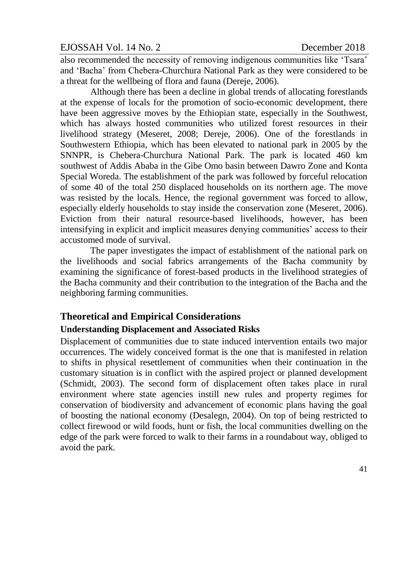also recommended the necessity of removing indigenous communities like 'Tsara' and 'Bacha' from Chebera-Churchura National Park as they were considered to be a threat for the wellbeing of flora and fauna (Dereje, 2006).

Although there has been a decline in global trends of allocating forestlands at the expense of locals for the promotion of socio-economic development, there have been aggressive moves by the Ethiopian state, especially in the Southwest, which has always hosted communities who utilized forest resources in their livelihood strategy (Meseret, 2008; Dereje, 2006). One of the forestlands in Southwestern Ethiopia, which has been elevated to national park in 2005 by the SNNPR, is Chebera-Churchura National Park. The park is located 460 km southwest of Addis Ababa in the Gibe Omo basin between Dawro Zone and Konta Special Woreda. The establishment of the park was followed by forceful relocation of some 40 of the total 250 displaced households on its northern age. The move was resisted by the locals. Hence, the regional government was forced to allow, especially elderly households to stay inside the conservation zone (Meseret, 2006). Eviction from their natural resource-based livelihoods, however, has been intensifying in explicit and implicit measures denying communities' access to their accustomed mode of survival.

The paper investigates the impact of establishment of the national park on the livelihoods and social fabrics arrangements of the Bacha community by examining the significance of forest-based products in the livelihood strategies of the Bacha community and their contribution to the integration of the Bacha and the neighboring farming communities.

# **Theoretical and Empirical Considerations**

### **Understanding Displacement and Associated Risks**

Displacement of communities due to state induced intervention entails two major occurrences. The widely conceived format is the one that is manifested in relation to shifts in physical resettlement of communities when their continuation in the customary situation is in conflict with the aspired project or planned development (Schmidt, 2003). The second form of displacement often takes place in rural environment where state agencies instill new rules and property regimes for conservation of biodiversity and advancement of economic plans having the goal of boosting the national economy (Desalegn, 2004). On top of being restricted to collect firewood or wild foods, hunt or fish, the local communities dwelling on the edge of the park were forced to walk to their farms in a roundabout way, obliged to avoid the park.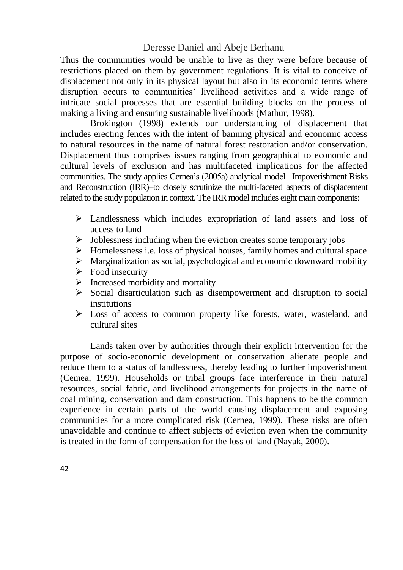Thus the communities would be unable to live as they were before because of restrictions placed on them by government regulations. It is vital to conceive of displacement not only in its physical layout but also in its economic terms where disruption occurs to communities' livelihood activities and a wide range of intricate social processes that are essential building blocks on the process of making a living and ensuring sustainable livelihoods (Mathur, 1998).

Brokington (1998) extends our understanding of displacement that includes erecting fences with the intent of banning physical and economic access to natural resources in the name of natural forest restoration and/or conservation. Displacement thus comprises issues ranging from geographical to economic and cultural levels of exclusion and has multifaceted implications for the affected communities. The study applies Cernea's (2005a) analytical model– Impoverishment Risks and Reconstruction (IRR)–to closely scrutinize the multi-faceted aspects of displacement related to the study population in context. The IRR model includes eight main components:

- $\triangleright$  Landlessness which includes expropriation of land assets and loss of access to land
- $\triangleright$  Joblessness including when the eviction creates some temporary jobs
- $\triangleright$  Homelessness i.e. loss of physical houses, family homes and cultural space
- $\triangleright$  Marginalization as social, psychological and economic downward mobility
- $\triangleright$  Food insecurity
- $\triangleright$  Increased morbidity and mortality
- $\triangleright$  Social disarticulation such as disempowerment and disruption to social **institutions**
- Executive Loss of access to common property like forests, water, wasteland, and cultural sites

Lands taken over by authorities through their explicit intervention for the purpose of socio-economic development or conservation alienate people and reduce them to a status of landlessness, thereby leading to further impoverishment (Cemea, 1999). Households or tribal groups face interference in their natural resources, social fabric, and livelihood arrangements for projects in the name of coal mining, conservation and dam construction. This happens to be the common experience in certain parts of the world causing displacement and exposing communities for a more complicated risk (Cernea, 1999). These risks are often unavoidable and continue to affect subjects of eviction even when the community is treated in the form of compensation for the loss of land (Nayak, 2000).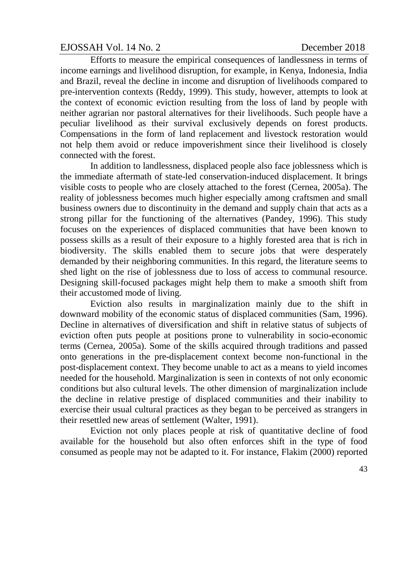Efforts to measure the empirical consequences of landlessness in terms of income earnings and livelihood disruption, for example, in Kenya, Indonesia, India and Brazil, reveal the decline in income and disruption of livelihoods compared to pre-intervention contexts (Reddy, 1999). This study, however, attempts to look at the context of economic eviction resulting from the loss of land by people with neither agrarian nor pastoral alternatives for their livelihoods. Such people have a peculiar livelihood as their survival exclusively depends on forest products. Compensations in the form of land replacement and livestock restoration would not help them avoid or reduce impoverishment since their livelihood is closely connected with the forest.

In addition to landlessness, displaced people also face joblessness which is the immediate aftermath of state-led conservation-induced displacement. It brings visible costs to people who are closely attached to the forest (Cernea, 2005a). The reality of joblessness becomes much higher especially among craftsmen and small business owners due to discontinuity in the demand and supply chain that acts as a strong pillar for the functioning of the alternatives (Pandey, 1996). This study focuses on the experiences of displaced communities that have been known to possess skills as a result of their exposure to a highly forested area that is rich in biodiversity. The skills enabled them to secure jobs that were desperately demanded by their neighboring communities. In this regard, the literature seems to shed light on the rise of joblessness due to loss of access to communal resource. Designing skill-focused packages might help them to make a smooth shift from their accustomed mode of living.

Eviction also results in marginalization mainly due to the shift in downward mobility of the economic status of displaced communities (Sam, 1996). Decline in alternatives of diversification and shift in relative status of subjects of eviction often puts people at positions prone to vulnerability in socio-economic terms (Cernea, 2005a). Some of the skills acquired through traditions and passed onto generations in the pre-displacement context become non-functional in the post-displacement context. They become unable to act as a means to yield incomes needed for the household. Marginalization is seen in contexts of not only economic conditions but also cultural levels. The other dimension of marginalization include the decline in relative prestige of displaced communities and their inability to exercise their usual cultural practices as they began to be perceived as strangers in their resettled new areas of settlement (Walter, 1991).

Eviction not only places people at risk of quantitative decline of food available for the household but also often enforces shift in the type of food consumed as people may not be adapted to it. For instance, Flakim (2000) reported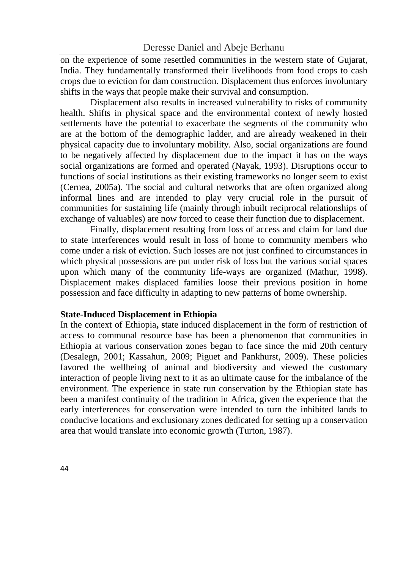on the experience of some resettled communities in the western state of Gujarat, India. They fundamentally transformed their livelihoods from food crops to cash crops due to eviction for dam construction. Displacement thus enforces involuntary shifts in the ways that people make their survival and consumption.

Displacement also results in increased vulnerability to risks of community health. Shifts in physical space and the environmental context of newly hosted settlements have the potential to exacerbate the segments of the community who are at the bottom of the demographic ladder, and are already weakened in their physical capacity due to involuntary mobility. Also, social organizations are found to be negatively affected by displacement due to the impact it has on the ways social organizations are formed and operated (Nayak, 1993). Disruptions occur to functions of social institutions as their existing frameworks no longer seem to exist (Cernea, 2005a). The social and cultural networks that are often organized along informal lines and are intended to play very crucial role in the pursuit of communities for sustaining life (mainly through inbuilt reciprocal relationships of exchange of valuables) are now forced to cease their function due to displacement.

Finally, displacement resulting from loss of access and claim for land due to state interferences would result in loss of home to community members who come under a risk of eviction. Such losses are not just confined to circumstances in which physical possessions are put under risk of loss but the various social spaces upon which many of the community life-ways are organized (Mathur, 1998). Displacement makes displaced families loose their previous position in home possession and face difficulty in adapting to new patterns of home ownership.

#### **State-Induced Displacement in Ethiopia**

In the context of Ethiopia**, s**tate induced displacement in the form of restriction of access to communal resource base has been a phenomenon that communities in Ethiopia at various conservation zones began to face since the mid 20th century (Desalegn, 2001; Kassahun, 2009; Piguet and Pankhurst, 2009). These policies favored the wellbeing of animal and biodiversity and viewed the customary interaction of people living next to it as an ultimate cause for the imbalance of the environment. The experience in state run conservation by the Ethiopian state has been a manifest continuity of the tradition in Africa, given the experience that the early interferences for conservation were intended to turn the inhibited lands to conducive locations and exclusionary zones dedicated for setting up a conservation area that would translate into economic growth (Turton, 1987).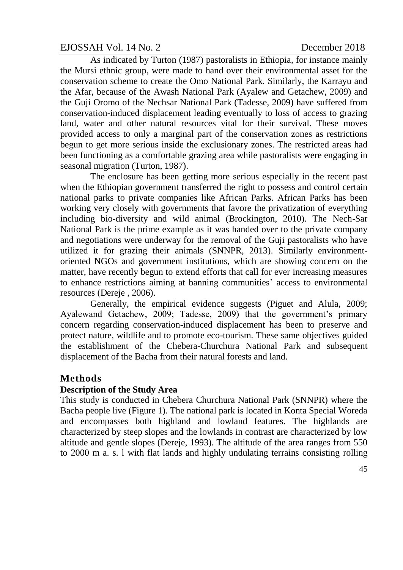As indicated by Turton (1987) pastoralists in Ethiopia, for instance mainly the Mursi ethnic group, were made to hand over their environmental asset for the conservation scheme to create the Omo National Park. Similarly, the Karrayu and the Afar, because of the Awash National Park (Ayalew and Getachew, 2009) and the Guji Oromo of the Nechsar National Park (Tadesse, 2009) have suffered from conservation-induced displacement leading eventually to loss of access to grazing land, water and other natural resources vital for their survival. These moves provided access to only a marginal part of the conservation zones as restrictions begun to get more serious inside the exclusionary zones. The restricted areas had been functioning as a comfortable grazing area while pastoralists were engaging in seasonal migration (Turton, 1987).

The enclosure has been getting more serious especially in the recent past when the Ethiopian government transferred the right to possess and control certain national parks to private companies like African Parks. African Parks has been working very closely with governments that favore the privatization of everything including bio-diversity and wild animal (Brockington, 2010). The Nech-Sar National Park is the prime example as it was handed over to the private company and negotiations were underway for the removal of the Guji pastoralists who have utilized it for grazing their animals (SNNPR, 2013). Similarly environmentoriented NGOs and government institutions, which are showing concern on the matter, have recently begun to extend efforts that call for ever increasing measures to enhance restrictions aiming at banning communities' access to environmental resources (Dereje , 2006).

Generally, the empirical evidence suggests (Piguet and Alula, 2009; Ayalewand Getachew, 2009; Tadesse, 2009) that the government's primary concern regarding conservation-induced displacement has been to preserve and protect nature, wildlife and to promote eco-tourism. These same objectives guided the establishment of the Chebera-Churchura National Park and subsequent displacement of the Bacha from their natural forests and land.

### **Methods**

#### **Description of the Study Area**

This study is conducted in Chebera Churchura National Park (SNNPR) where the Bacha people live (Figure 1). The national park is located in Konta Special Woreda and encompasses both highland and lowland features. The highlands are characterized by steep slopes and the lowlands in contrast are characterized by low altitude and gentle slopes (Dereje, 1993). The altitude of the area ranges from 550 to 2000 m a. s. l with flat lands and highly undulating terrains consisting rolling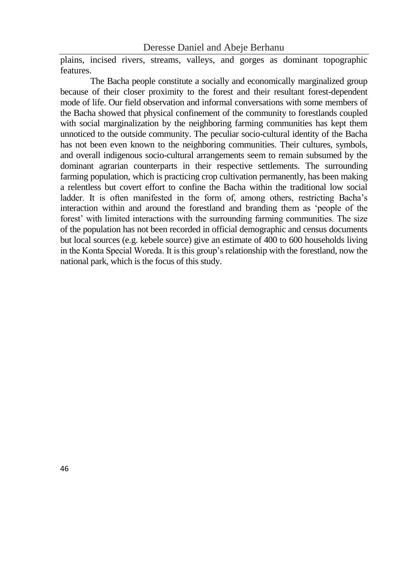plains, incised rivers, streams, valleys, and gorges as dominant topographic features.

The Bacha people constitute a socially and economically marginalized group because of their closer proximity to the forest and their resultant forest-dependent mode of life. Our field observation and informal conversations with some members of the Bacha showed that physical confinement of the community to forestlands coupled with social marginalization by the neighboring farming communities has kept them unnoticed to the outside community. The peculiar socio-cultural identity of the Bacha has not been even known to the neighboring communities. Their cultures, symbols, and overall indigenous socio-cultural arrangements seem to remain subsumed by the dominant agrarian counterparts in their respective settlements. The surrounding farming population, which is practicing crop cultivation permanently, has been making a relentless but covert effort to confine the Bacha within the traditional low social ladder. It is often manifested in the form of, among others, restricting Bacha's interaction within and around the forestland and branding them as 'people of the forest' with limited interactions with the surrounding farming communities. The size of the population has not been recorded in official demographic and census documents but local sources (e.g. kebele source) give an estimate of 400 to 600 households living in the Konta Special Woreda. It is this group's relationship with the forestland, now the national park, which is the focus of this study.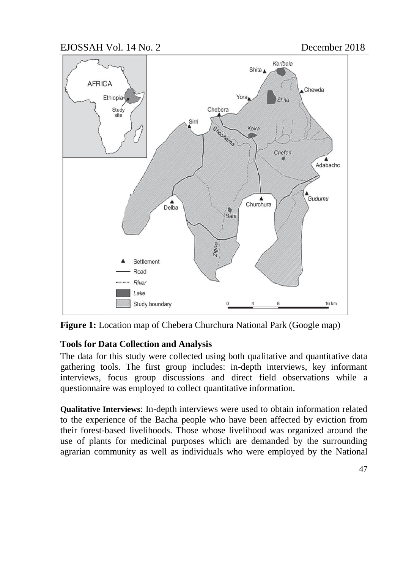

Figure 1: Location map of Chebera Churchura National Park (Google map)

# **Tools for Data Collection and Analysis**

The data for this study were collected using both qualitative and quantitative data gathering tools. The first group includes: in-depth interviews, key informant interviews, focus group discussions and direct field observations while a questionnaire was employed to collect quantitative information.

**Qualitative Interviews**: In-depth interviews were used to obtain information related to the experience of the Bacha people who have been affected by eviction from their forest-based livelihoods. Those whose livelihood was organized around the use of plants for medicinal purposes which are demanded by the surrounding agrarian community as well as individuals who were employed by the National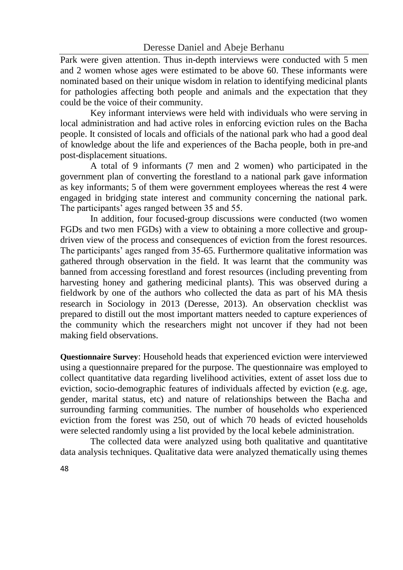Park were given attention. Thus in-depth interviews were conducted with 5 men and 2 women whose ages were estimated to be above 60. These informants were nominated based on their unique wisdom in relation to identifying medicinal plants for pathologies affecting both people and animals and the expectation that they could be the voice of their community.

Key informant interviews were held with individuals who were serving in local administration and had active roles in enforcing eviction rules on the Bacha people. It consisted of locals and officials of the national park who had a good deal of knowledge about the life and experiences of the Bacha people, both in pre-and post-displacement situations.

A total of 9 informants (7 men and 2 women) who participated in the government plan of converting the forestland to a national park gave information as key informants; 5 of them were government employees whereas the rest 4 were engaged in bridging state interest and community concerning the national park. The participants' ages ranged between 35 and 55.

In addition, four focused-group discussions were conducted (two women FGDs and two men FGDs) with a view to obtaining a more collective and groupdriven view of the process and consequences of eviction from the forest resources. The participants' ages ranged from 35-65. Furthermore qualitative information was gathered through observation in the field. It was learnt that the community was banned from accessing forestland and forest resources (including preventing from harvesting honey and gathering medicinal plants). This was observed during a fieldwork by one of the authors who collected the data as part of his MA thesis research in Sociology in 2013 (Deresse, 2013). An observation checklist was prepared to distill out the most important matters needed to capture experiences of the community which the researchers might not uncover if they had not been making field observations.

**Questionnaire Survey**: Household heads that experienced eviction were interviewed using a questionnaire prepared for the purpose. The questionnaire was employed to collect quantitative data regarding livelihood activities, extent of asset loss due to eviction, socio-demographic features of individuals affected by eviction (e.g. age, gender, marital status, etc) and nature of relationships between the Bacha and surrounding farming communities. The number of households who experienced eviction from the forest was 250, out of which 70 heads of evicted households were selected randomly using a list provided by the local kebele administration.

The collected data were analyzed using both qualitative and quantitative data analysis techniques. Qualitative data were analyzed thematically using themes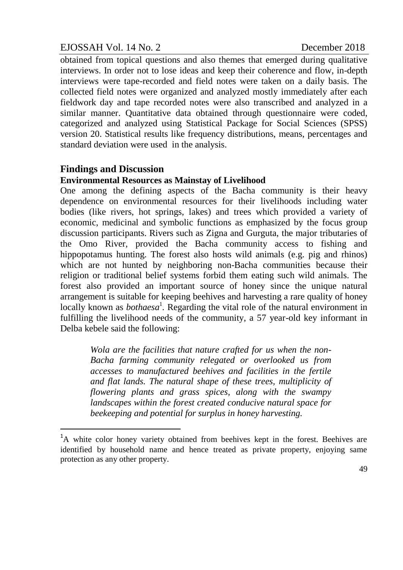obtained from topical questions and also themes that emerged during qualitative interviews. In order not to lose ideas and keep their coherence and flow, in-depth interviews were tape-recorded and field notes were taken on a daily basis. The collected field notes were organized and analyzed mostly immediately after each fieldwork day and tape recorded notes were also transcribed and analyzed in a similar manner. Quantitative data obtained through questionnaire were coded, categorized and analyzed using Statistical Package for Social Sciences (SPSS) version 20. Statistical results like frequency distributions, means, percentages and standard deviation were used in the analysis.

# **Findings and Discussion**

 $\overline{a}$ 

### **Environmental Resources as Mainstay of Livelihood**

One among the defining aspects of the Bacha community is their heavy dependence on environmental resources for their livelihoods including water bodies (like rivers, hot springs, lakes) and trees which provided a variety of economic, medicinal and symbolic functions as emphasized by the focus group discussion participants. Rivers such as Zigna and Gurguta, the major tributaries of the Omo River, provided the Bacha community access to fishing and hippopotamus hunting. The forest also hosts wild animals (e.g. pig and rhinos) which are not hunted by neighboring non-Bacha communities because their religion or traditional belief systems forbid them eating such wild animals. The forest also provided an important source of honey since the unique natural arrangement is suitable for keeping beehives and harvesting a rare quality of honey locally known as *bothaesa*<sup>1</sup>. Regarding the vital role of the natural environment in fulfilling the livelihood needs of the community, a 57 year-old key informant in Delba kebele said the following:

*Wola are the facilities that nature crafted for us when the non-Bacha farming community relegated or overlooked us from accesses to manufactured beehives and facilities in the fertile and flat lands. The natural shape of these trees, multiplicity of flowering plants and grass spices, along with the swampy landscapes within the forest created conducive natural space for beekeeping and potential for surplus in honey harvesting.*

<sup>&</sup>lt;sup>1</sup>A white color honey variety obtained from beehives kept in the forest. Beehives are identified by household name and hence treated as private property, enjoying same protection as any other property.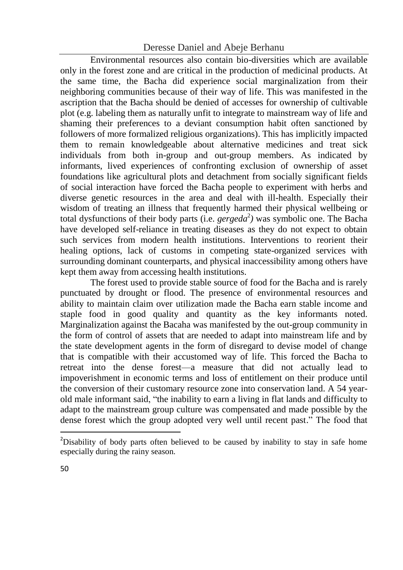Environmental resources also contain bio-diversities which are available only in the forest zone and are critical in the production of medicinal products. At the same time, the Bacha did experience social marginalization from their neighboring communities because of their way of life. This was manifested in the ascription that the Bacha should be denied of accesses for ownership of cultivable plot (e.g. labeling them as naturally unfit to integrate to mainstream way of life and shaming their preferences to a deviant consumption habit often sanctioned by followers of more formalized religious organizations). This has implicitly impacted them to remain knowledgeable about alternative medicines and treat sick individuals from both in-group and out-group members. As indicated by informants, lived experiences of confronting exclusion of ownership of asset foundations like agricultural plots and detachment from socially significant fields of social interaction have forced the Bacha people to experiment with herbs and diverse genetic resources in the area and deal with ill-health. Especially their wisdom of treating an illness that frequently harmed their physical wellbeing or total dysfunctions of their body parts (i.e.  $gergeda^2$ ) was symbolic one. The Bacha have developed self-reliance in treating diseases as they do not expect to obtain such services from modern health institutions. Interventions to reorient their healing options, lack of customs in competing state-organized services with surrounding dominant counterparts, and physical inaccessibility among others have kept them away from accessing health institutions.

The forest used to provide stable source of food for the Bacha and is rarely punctuated by drought or flood. The presence of environmental resources and ability to maintain claim over utilization made the Bacha earn stable income and staple food in good quality and quantity as the key informants noted. Marginalization against the Bacaha was manifested by the out-group community in the form of control of assets that are needed to adapt into mainstream life and by the state development agents in the form of disregard to devise model of change that is compatible with their accustomed way of life. This forced the Bacha to retreat into the dense forest—a measure that did not actually lead to impoverishment in economic terms and loss of entitlement on their produce until the conversion of their customary resource zone into conservation land. A 54 yearold male informant said, "the inability to earn a living in flat lands and difficulty to adapt to the mainstream group culture was compensated and made possible by the dense forest which the group adopted very well until recent past." The food that

 $\overline{a}$ 

<sup>&</sup>lt;sup>2</sup>Disability of body parts often believed to be caused by inability to stay in safe home especially during the rainy season.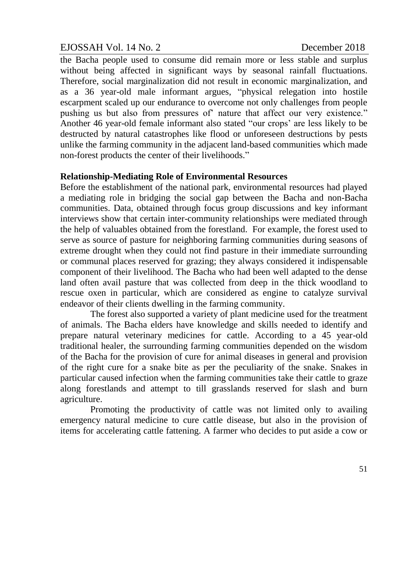the Bacha people used to consume did remain more or less stable and surplus without being affected in significant ways by seasonal rainfall fluctuations. Therefore, social marginalization did not result in economic marginalization, and as a 36 year-old male informant argues, "physical relegation into hostile escarpment scaled up our endurance to overcome not only challenges from people pushing us but also from pressures of nature that affect our very existence." Another 46 year-old female informant also stated "our crops' are less likely to be destructed by natural catastrophes like flood or unforeseen destructions by pests unlike the farming community in the adjacent land-based communities which made non-forest products the center of their livelihoods."

# **Relationship-Mediating Role of Environmental Resources**

Before the establishment of the national park, environmental resources had played a mediating role in bridging the social gap between the Bacha and non-Bacha communities. Data, obtained through focus group discussions and key informant interviews show that certain inter-community relationships were mediated through the help of valuables obtained from the forestland. For example, the forest used to serve as source of pasture for neighboring farming communities during seasons of extreme drought when they could not find pasture in their immediate surrounding or communal places reserved for grazing; they always considered it indispensable component of their livelihood. The Bacha who had been well adapted to the dense land often avail pasture that was collected from deep in the thick woodland to rescue oxen in particular, which are considered as engine to catalyze survival endeavor of their clients dwelling in the farming community.

The forest also supported a variety of plant medicine used for the treatment of animals. The Bacha elders have knowledge and skills needed to identify and prepare natural veterinary medicines for cattle. According to a 45 year-old traditional healer, the surrounding farming communities depended on the wisdom of the Bacha for the provision of cure for animal diseases in general and provision of the right cure for a snake bite as per the peculiarity of the snake. Snakes in particular caused infection when the farming communities take their cattle to graze along forestlands and attempt to till grasslands reserved for slash and burn agriculture.

Promoting the productivity of cattle was not limited only to availing emergency natural medicine to cure cattle disease, but also in the provision of items for accelerating cattle fattening. A farmer who decides to put aside a cow or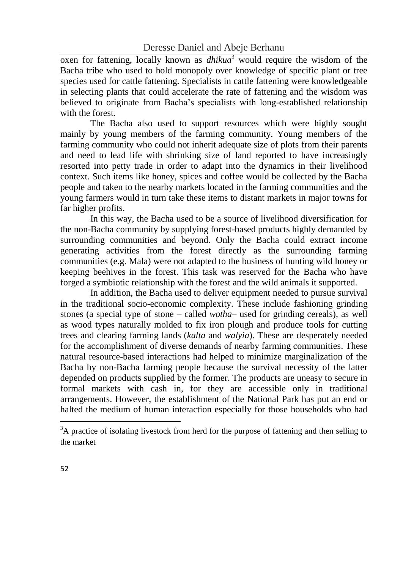oxen for fattening, locally known as *dhikua*<sup>3</sup> would require the wisdom of the Bacha tribe who used to hold monopoly over knowledge of specific plant or tree species used for cattle fattening. Specialists in cattle fattening were knowledgeable in selecting plants that could accelerate the rate of fattening and the wisdom was believed to originate from Bacha's specialists with long-established relationship with the forest.

The Bacha also used to support resources which were highly sought mainly by young members of the farming community. Young members of the farming community who could not inherit adequate size of plots from their parents and need to lead life with shrinking size of land reported to have increasingly resorted into petty trade in order to adapt into the dynamics in their livelihood context. Such items like honey, spices and coffee would be collected by the Bacha people and taken to the nearby markets located in the farming communities and the young farmers would in turn take these items to distant markets in major towns for far higher profits.

In this way, the Bacha used to be a source of livelihood diversification for the non-Bacha community by supplying forest-based products highly demanded by surrounding communities and beyond. Only the Bacha could extract income generating activities from the forest directly as the surrounding farming communities (e.g. Mala) were not adapted to the business of hunting wild honey or keeping beehives in the forest. This task was reserved for the Bacha who have forged a symbiotic relationship with the forest and the wild animals it supported.

In addition, the Bacha used to deliver equipment needed to pursue survival in the traditional socio-economic complexity. These include fashioning grinding stones (a special type of stone – called *wotha*– used for grinding cereals), as well as wood types naturally molded to fix iron plough and produce tools for cutting trees and clearing farming lands (*kalta* and *walyia*). These are desperately needed for the accomplishment of diverse demands of nearby farming communities. These natural resource-based interactions had helped to minimize marginalization of the Bacha by non-Bacha farming people because the survival necessity of the latter depended on products supplied by the former. The products are uneasy to secure in formal markets with cash in, for they are accessible only in traditional arrangements. However, the establishment of the National Park has put an end or halted the medium of human interaction especially for those households who had

 $\overline{a}$ 

<sup>&</sup>lt;sup>3</sup>A practice of isolating livestock from herd for the purpose of fattening and then selling to the market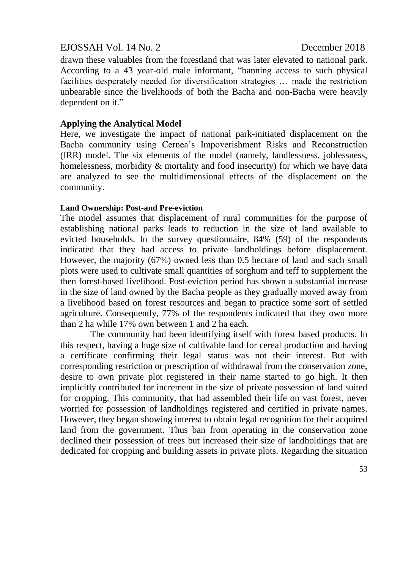drawn these valuables from the forestland that was later elevated to national park. According to a 43 year-old male informant, "banning access to such physical facilities desperately needed for diversification strategies … made the restriction unbearable since the livelihoods of both the Bacha and non-Bacha were heavily dependent on it."

# **Applying the Analytical Model**

Here, we investigate the impact of national park-initiated displacement on the Bacha community using Cernea's Impoverishment Risks and Reconstruction (IRR) model. The six elements of the model (namely, landlessness, joblessness, homelessness, morbidity & mortality and food insecurity) for which we have data are analyzed to see the multidimensional effects of the displacement on the community.

#### **Land Ownership: Post-and Pre-eviction**

The model assumes that displacement of rural communities for the purpose of establishing national parks leads to reduction in the size of land available to evicted households. In the survey questionnaire, 84% (59) of the respondents indicated that they had access to private landholdings before displacement. However, the majority (67%) owned less than 0.5 hectare of land and such small plots were used to cultivate small quantities of sorghum and teff to supplement the then forest-based livelihood. Post-eviction period has shown a substantial increase in the size of land owned by the Bacha people as they gradually moved away from a livelihood based on forest resources and began to practice some sort of settled agriculture. Consequently, 77% of the respondents indicated that they own more than 2 ha while 17% own between 1 and 2 ha each.

The community had been identifying itself with forest based products. In this respect, having a huge size of cultivable land for cereal production and having a certificate confirming their legal status was not their interest. But with corresponding restriction or prescription of withdrawal from the conservation zone, desire to own private plot registered in their name started to go high. It then implicitly contributed for increment in the size of private possession of land suited for cropping. This community, that had assembled their life on vast forest, never worried for possession of landholdings registered and certified in private names. However, they began showing interest to obtain legal recognition for their acquired land from the government. Thus ban from operating in the conservation zone declined their possession of trees but increased their size of landholdings that are dedicated for cropping and building assets in private plots. Regarding the situation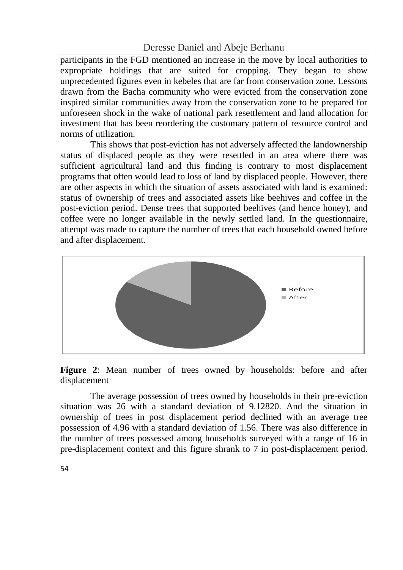participants in the FGD mentioned an increase in the move by local authorities to expropriate holdings that are suited for cropping. They began to show unprecedented figures even in kebeles that are far from conservation zone. Lessons drawn from the Bacha community who were evicted from the conservation zone inspired similar communities away from the conservation zone to be prepared for unforeseen shock in the wake of national park resettlement and land allocation for investment that has been reordering the customary pattern of resource control and norms of utilization.

This shows that post-eviction has not adversely affected the landownership status of displaced people as they were resettled in an area where there was sufficient agricultural land and this finding is contrary to most displacement programs that often would lead to loss of land by displaced people. However, there are other aspects in which the situation of assets associated with land is examined: status of ownership of trees and associated assets like beehives and coffee in the post-eviction period. Dense trees that supported beehives (and hence honey), and coffee were no longer available in the newly settled land. In the questionnaire, attempt was made to capture the number of trees that each household owned before and after displacement.



Figure 2: Mean number of trees owned by households: before and after displacement

The average possession of trees owned by households in their pre-eviction situation was 26 with a standard deviation of 9.12820. And the situation in ownership of trees in post displacement period declined with an average tree possession of 4.96 with a standard deviation of 1.56. There was also difference in the number of trees possessed among households surveyed with a range of 16 in pre-displacement context and this figure shrank to 7 in post-displacement period.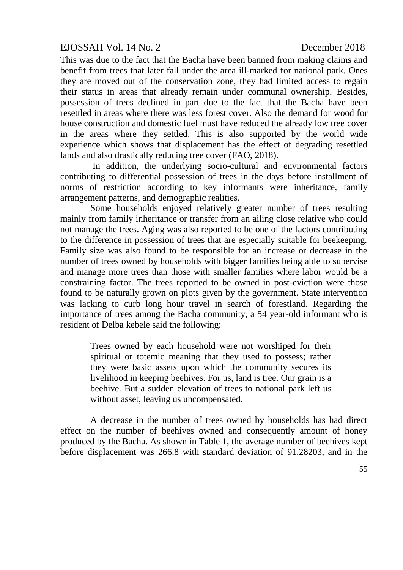This was due to the fact that the Bacha have been banned from making claims and benefit from trees that later fall under the area ill-marked for national park. Ones they are moved out of the conservation zone, they had limited access to regain their status in areas that already remain under communal ownership. Besides, possession of trees declined in part due to the fact that the Bacha have been resettled in areas where there was less forest cover. Also the demand for wood for house construction and domestic fuel must have reduced the already low tree cover in the areas where they settled. This is also supported by the world wide experience which shows that displacement has the effect of degrading resettled lands and also drastically reducing tree cover (FAO, 2018).

In addition, the underlying socio-cultural and environmental factors contributing to differential possession of trees in the days before installment of norms of restriction according to key informants were inheritance, family arrangement patterns, and demographic realities.

Some households enjoyed relatively greater number of trees resulting mainly from family inheritance or transfer from an ailing close relative who could not manage the trees. Aging was also reported to be one of the factors contributing to the difference in possession of trees that are especially suitable for beekeeping. Family size was also found to be responsible for an increase or decrease in the number of trees owned by households with bigger families being able to supervise and manage more trees than those with smaller families where labor would be a constraining factor. The trees reported to be owned in post-eviction were those found to be naturally grown on plots given by the government. State intervention was lacking to curb long hour travel in search of forestland. Regarding the importance of trees among the Bacha community, a 54 year-old informant who is resident of Delba kebele said the following:

Trees owned by each household were not worshiped for their spiritual or totemic meaning that they used to possess; rather they were basic assets upon which the community secures its livelihood in keeping beehives. For us, land is tree. Our grain is a beehive. But a sudden elevation of trees to national park left us without asset, leaving us uncompensated*.*

A decrease in the number of trees owned by households has had direct effect on the number of beehives owned and consequently amount of honey produced by the Bacha. As shown in Table 1, the average number of beehives kept before displacement was 266.8 with standard deviation of 91.28203, and in the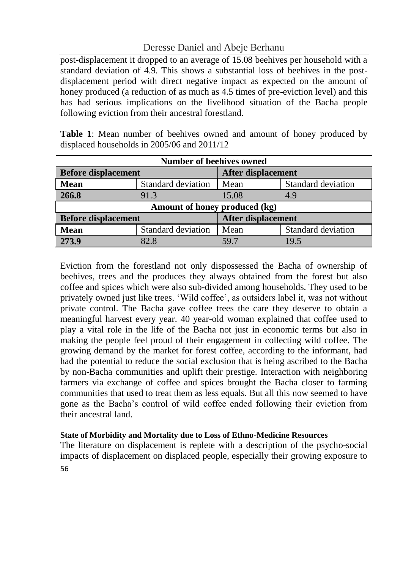post-displacement it dropped to an average of 15.08 beehives per household with a standard deviation of 4.9. This shows a substantial loss of beehives in the postdisplacement period with direct negative impact as expected on the amount of honey produced (a reduction of as much as 4.5 times of pre-eviction level) and this has had serious implications on the livelihood situation of the Bacha people following eviction from their ancestral forestland.

**Table 1**: Mean number of beehives owned and amount of honey produced by displaced households in 2005/06 and 2011/12

| <b>Number of beehives owned</b> |                    |                           |                    |  |  |
|---------------------------------|--------------------|---------------------------|--------------------|--|--|
| <b>Before displacement</b>      |                    | <b>After displacement</b> |                    |  |  |
| <b>Mean</b>                     | Standard deviation | Mean                      | Standard deviation |  |  |
| 266.8                           | 91.3               | 15.08                     |                    |  |  |
| Amount of honey produced (kg)   |                    |                           |                    |  |  |
| <b>Before displacement</b>      |                    | <b>After displacement</b> |                    |  |  |
| <b>Mean</b>                     | Standard deviation | Mean                      | Standard deviation |  |  |
| 273.9                           | 82.8               | 59.7                      | 19.5               |  |  |

Eviction from the forestland not only dispossessed the Bacha of ownership of beehives, trees and the produces they always obtained from the forest but also coffee and spices which were also sub-divided among households. They used to be privately owned just like trees. ‗Wild coffee', as outsiders label it, was not without private control. The Bacha gave coffee trees the care they deserve to obtain a meaningful harvest every year. 40 year-old woman explained that coffee used to play a vital role in the life of the Bacha not just in economic terms but also in making the people feel proud of their engagement in collecting wild coffee. The growing demand by the market for forest coffee, according to the informant, had had the potential to reduce the social exclusion that is being ascribed to the Bacha by non-Bacha communities and uplift their prestige. Interaction with neighboring farmers via exchange of coffee and spices brought the Bacha closer to farming communities that used to treat them as less equals. But all this now seemed to have gone as the Bacha's control of wild coffee ended following their eviction from their ancestral land.

### **State of Morbidity and Mortality due to Loss of Ethno-Medicine Resources**

56 The literature on displacement is replete with a description of the psycho-social impacts of displacement on displaced people, especially their growing exposure to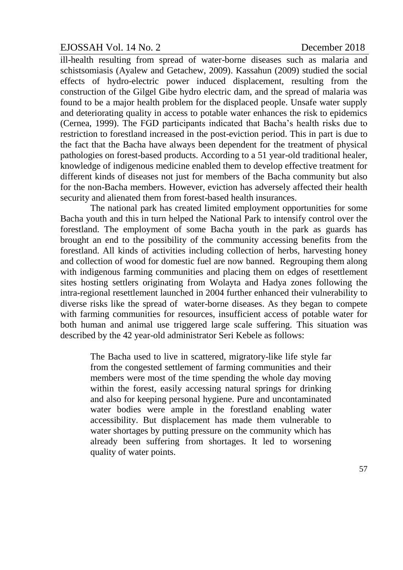ill-health resulting from spread of water-borne diseases such as malaria and schistsomiasis (Ayalew and Getachew, 2009). Kassahun (2009) studied the social effects of hydro-electric power induced displacement, resulting from the construction of the Gilgel Gibe hydro electric dam, and the spread of malaria was found to be a major health problem for the displaced people. Unsafe water supply and deteriorating quality in access to potable water enhances the risk to epidemics (Cernea, 1999). The FGD participants indicated that Bacha's health risks due to restriction to forestland increased in the post-eviction period. This in part is due to the fact that the Bacha have always been dependent for the treatment of physical pathologies on forest-based products. According to a 51 year-old traditional healer, knowledge of indigenous medicine enabled them to develop effective treatment for different kinds of diseases not just for members of the Bacha community but also for the non-Bacha members. However, eviction has adversely affected their health security and alienated them from forest-based health insurances.

The national park has created limited employment opportunities for some Bacha youth and this in turn helped the National Park to intensify control over the forestland. The employment of some Bacha youth in the park as guards has brought an end to the possibility of the community accessing benefits from the forestland. All kinds of activities including collection of herbs, harvesting honey and collection of wood for domestic fuel are now banned. Regrouping them along with indigenous farming communities and placing them on edges of resettlement sites hosting settlers originating from Wolayta and Hadya zones following the intra-regional resettlement launched in 2004 further enhanced their vulnerability to diverse risks like the spread of water-borne diseases. As they began to compete with farming communities for resources, insufficient access of potable water for both human and animal use triggered large scale suffering. This situation was described by the 42 year-old administrator Seri Kebele as follows:

The Bacha used to live in scattered, migratory-like life style far from the congested settlement of farming communities and their members were most of the time spending the whole day moving within the forest, easily accessing natural springs for drinking and also for keeping personal hygiene. Pure and uncontaminated water bodies were ample in the forestland enabling water accessibility. But displacement has made them vulnerable to water shortages by putting pressure on the community which has already been suffering from shortages. It led to worsening quality of water points.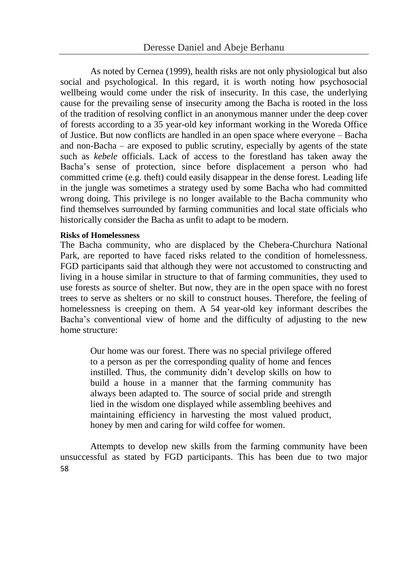As noted by Cernea (1999), health risks are not only physiological but also social and psychological. In this regard, it is worth noting how psychosocial wellbeing would come under the risk of insecurity. In this case, the underlying cause for the prevailing sense of insecurity among the Bacha is rooted in the loss of the tradition of resolving conflict in an anonymous manner under the deep cover of forests according to a 35 year-old key informant working in the Woreda Office of Justice. But now conflicts are handled in an open space where everyone – Bacha and non-Bacha – are exposed to public scrutiny, especially by agents of the state such as *kebele* officials. Lack of access to the forestland has taken away the Bacha's sense of protection, since before displacement a person who had committed crime (e.g. theft) could easily disappear in the dense forest. Leading life in the jungle was sometimes a strategy used by some Bacha who had committed wrong doing. This privilege is no longer available to the Bacha community who find themselves surrounded by farming communities and local state officials who historically consider the Bacha as unfit to adapt to be modern.

#### **Risks of Homelessness**

The Bacha community, who are displaced by the Chebera-Churchura National Park, are reported to have faced risks related to the condition of homelessness. FGD participants said that although they were not accustomed to constructing and living in a house similar in structure to that of farming communities, they used to use forests as source of shelter. But now, they are in the open space with no forest trees to serve as shelters or no skill to construct houses. Therefore, the feeling of homelessness is creeping on them. A 54 year-old key informant describes the Bacha's conventional view of home and the difficulty of adjusting to the new home structure:

Our home was our forest. There was no special privilege offered to a person as per the corresponding quality of home and fences instilled. Thus, the community didn't develop skills on how to build a house in a manner that the farming community has always been adapted to. The source of social pride and strength lied in the wisdom one displayed while assembling beehives and maintaining efficiency in harvesting the most valued product, honey by men and caring for wild coffee for women.

58 Attempts to develop new skills from the farming community have been unsuccessful as stated by FGD participants. This has been due to two major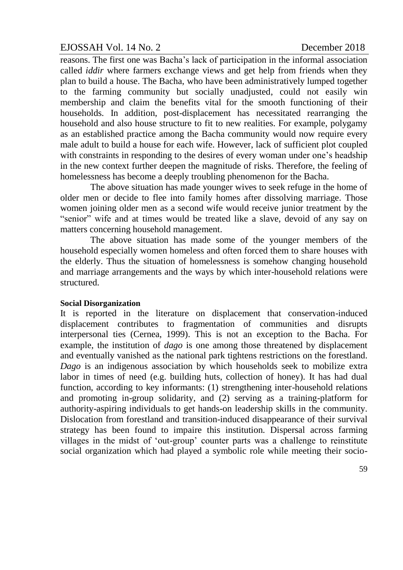reasons. The first one was Bacha's lack of participation in the informal association called *iddir* where farmers exchange views and get help from friends when they plan to build a house. The Bacha, who have been administratively lumped together to the farming community but socially unadjusted, could not easily win membership and claim the benefits vital for the smooth functioning of their households. In addition, post-displacement has necessitated rearranging the household and also house structure to fit to new realities. For example, polygamy as an established practice among the Bacha community would now require every male adult to build a house for each wife. However, lack of sufficient plot coupled with constraints in responding to the desires of every woman under one's headship in the new context further deepen the magnitude of risks. Therefore, the feeling of homelessness has become a deeply troubling phenomenon for the Bacha.

The above situation has made younger wives to seek refuge in the home of older men or decide to flee into family homes after dissolving marriage. Those women joining older men as a second wife would receive junior treatment by the ―senior‖ wife and at times would be treated like a slave, devoid of any say on matters concerning household management.

The above situation has made some of the younger members of the household especially women homeless and often forced them to share houses with the elderly. Thus the situation of homelessness is somehow changing household and marriage arrangements and the ways by which inter-household relations were structured.

#### **Social Disorganization**

It is reported in the literature on displacement that conservation-induced displacement contributes to fragmentation of communities and disrupts interpersonal ties (Cernea, 1999). This is not an exception to the Bacha. For example, the institution of *dago* is one among those threatened by displacement and eventually vanished as the national park tightens restrictions on the forestland. *Dago* is an indigenous association by which households seek to mobilize extra labor in times of need (e.g. building huts, collection of honey). It has had dual function, according to key informants: (1) strengthening inter-household relations and promoting in-group solidarity, and (2) serving as a training-platform for authority-aspiring individuals to get hands-on leadership skills in the community. Dislocation from forestland and transition-induced disappearance of their survival strategy has been found to impaire this institution. Dispersal across farming villages in the midst of 'out-group' counter parts was a challenge to reinstitute social organization which had played a symbolic role while meeting their socio-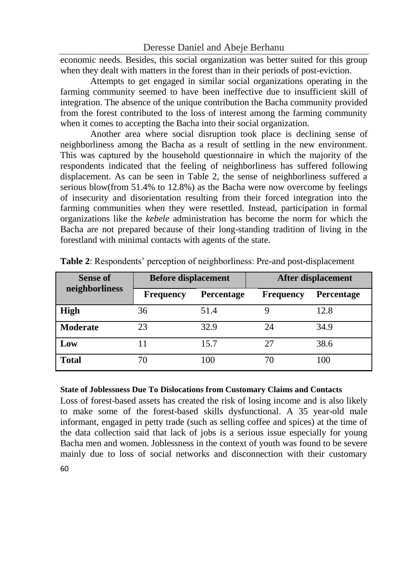economic needs. Besides, this social organization was better suited for this group when they dealt with matters in the forest than in their periods of post-eviction.

Attempts to get engaged in similar social organizations operating in the farming community seemed to have been ineffective due to insufficient skill of integration. The absence of the unique contribution the Bacha community provided from the forest contributed to the loss of interest among the farming community when it comes to accepting the Bacha into their social organization.

Another area where social disruption took place is declining sense of neighborliness among the Bacha as a result of settling in the new environment. This was captured by the household questionnaire in which the majority of the respondents indicated that the feeling of neighborliness has suffered following displacement. As can be seen in Table 2, the sense of neighborliness suffered a serious blow(from 51.4% to 12.8%) as the Bacha were now overcome by feelings of insecurity and disorientation resulting from their forced integration into the farming communities when they were resettled. Instead, participation in formal organizations like the *kebele* administration has become the norm for which the Bacha are not prepared because of their long-standing tradition of living in the forestland with minimal contacts with agents of the state.

| <b>Sense of</b><br>neighborliness | <b>Before displacement</b> |            | <b>After displacement</b> |                   |
|-----------------------------------|----------------------------|------------|---------------------------|-------------------|
|                                   | <b>Frequency</b>           | Percentage | <b>Frequency</b>          | <b>Percentage</b> |
| High                              | 36                         | 51.4       |                           | 12.8              |
| <b>Moderate</b>                   | 23                         | 32.9       | 24                        | 34.9              |
| Low                               | 11                         | 15.7       | 27                        | 38.6              |
| <b>Total</b>                      | 70                         | 100        | 70                        | 100               |

**Table 2**: Respondents' perception of neighborliness: Pre-and post-displacement

#### **State of Joblessness Due To Dislocations from Customary Claims and Contacts**

Loss of forest-based assets has created the risk of losing income and is also likely to make some of the forest-based skills dysfunctional. A 35 year-old male informant, engaged in petty trade (such as selling coffee and spices) at the time of the data collection said that lack of jobs is a serious issue especially for young Bacha men and women. Joblessness in the context of youth was found to be severe mainly due to loss of social networks and disconnection with their customary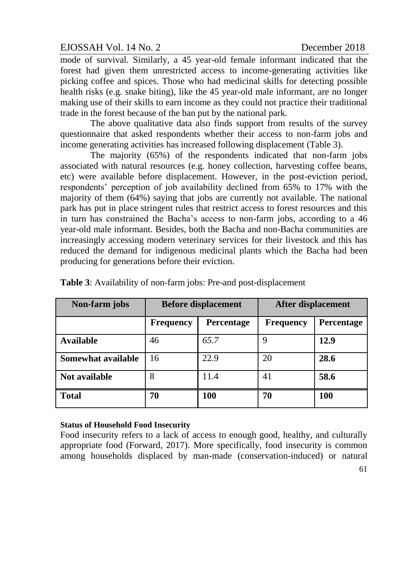mode of survival. Similarly, a 45 year-old female informant indicated that the forest had given them unrestricted access to income-generating activities like picking coffee and spices. Those who had medicinal skills for detecting possible health risks (e.g. snake biting), like the 45 year-old male informant, are no longer making use of their skills to earn income as they could not practice their traditional trade in the forest because of the ban put by the national park.

The above qualitative data also finds support from results of the survey questionnaire that asked respondents whether their access to non-farm jobs and income generating activities has increased following displacement (Table 3).

The majority (65%) of the respondents indicated that non-farm jobs associated with natural resources (e.g. honey collection, harvesting coffee beans, etc) were available before displacement. However, in the post-eviction period, respondents' perception of job availability declined from 65% to 17% with the majority of them (64%) saying that jobs are currently not available. The national park has put in place stringent rules that restrict access to forest resources and this in turn has constrained the Bacha's access to non-farm jobs, according to a 46 year-old male informant. Besides, both the Bacha and non-Bacha communities are increasingly accessing modern veterinary services for their livestock and this has reduced the demand for indigenous medicinal plants which the Bacha had been producing for generations before their eviction.

| Non-farm jobs      | <b>Before displacement</b> |            | After displacement |            |
|--------------------|----------------------------|------------|--------------------|------------|
|                    | <b>Frequency</b>           | Percentage | <b>Frequency</b>   | Percentage |
| Available          | 46                         | 65.7       | 9                  | 12.9       |
| Somewhat available | 16                         | 22.9       | 20                 | 28.6       |
| Not available      | 8                          | 11.4       | 41                 | 58.6       |
| <b>Total</b>       | 70                         | <b>100</b> | 70                 | 100        |

**Table 3**: Availability of non-farm jobs: Pre-and post-displacement

#### **Status of Household Food Insecurity**

Food insecurity refers to a lack of access to enough good, healthy, and culturally appropriate food (Forward, 2017). More specifically, food insecurity is common among households displaced by man-made (conservation-induced) or natural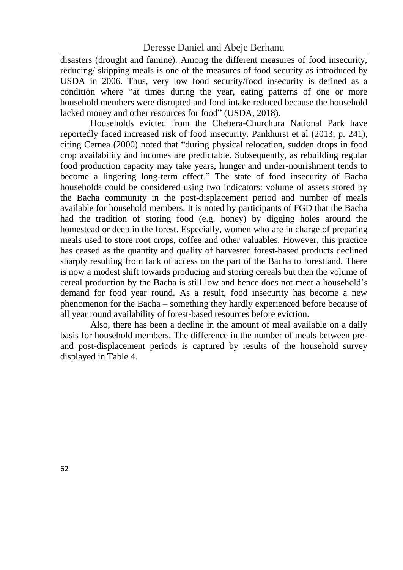disasters (drought and famine). Among the different measures of food insecurity, reducing/ skipping meals is one of the measures of food security as introduced by USDA in 2006. Thus, very low food security/food insecurity is defined as a condition where "at times during the year, eating patterns of one or more household members were disrupted and food intake reduced because the household lacked money and other resources for food" (USDA, 2018).

Households evicted from the Chebera-Churchura National Park have reportedly faced increased risk of food insecurity. Pankhurst et al (2013, p. 241), citing Cernea  $(2000)$  noted that "during physical relocation, sudden drops in food crop availability and incomes are predictable. Subsequently, as rebuilding regular food production capacity may take years, hunger and under-nourishment tends to become a lingering long-term effect." The state of food insecurity of Bacha households could be considered using two indicators: volume of assets stored by the Bacha community in the post-displacement period and number of meals available for household members. It is noted by participants of FGD that the Bacha had the tradition of storing food (e.g. honey) by digging holes around the homestead or deep in the forest. Especially, women who are in charge of preparing meals used to store root crops, coffee and other valuables. However, this practice has ceased as the quantity and quality of harvested forest-based products declined sharply resulting from lack of access on the part of the Bacha to forestland. There is now a modest shift towards producing and storing cereals but then the volume of cereal production by the Bacha is still low and hence does not meet a household's demand for food year round. As a result, food insecurity has become a new phenomenon for the Bacha – something they hardly experienced before because of all year round availability of forest-based resources before eviction.

Also, there has been a decline in the amount of meal available on a daily basis for household members. The difference in the number of meals between preand post-displacement periods is captured by results of the household survey displayed in Table 4.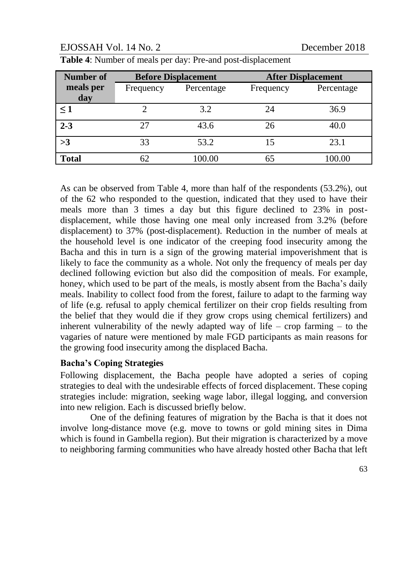| <b>Number of</b> | <b>Before Displacement</b> |            | <b>After Displacement</b> |            |
|------------------|----------------------------|------------|---------------------------|------------|
| meals per        | Frequency                  | Percentage | Frequency                 | Percentage |
| day              |                            |            |                           |            |
| $\leq 1$         |                            | 3.2        | 24                        | 36.9       |
| $2 - 3$          | 27                         | 43.6       | 26                        | 40.0       |
| >3               | 33                         | 53.2       | 15                        | 23.1       |
| <b>Total</b>     |                            | 100.00     | 65                        | 100.00     |

**Table 4**: Number of meals per day: Pre-and post-displacement

As can be observed from Table 4, more than half of the respondents (53.2%), out of the 62 who responded to the question, indicated that they used to have their meals more than 3 times a day but this figure declined to 23% in postdisplacement, while those having one meal only increased from 3.2% (before displacement) to 37% (post-displacement). Reduction in the number of meals at the household level is one indicator of the creeping food insecurity among the Bacha and this in turn is a sign of the growing material impoverishment that is likely to face the community as a whole. Not only the frequency of meals per day declined following eviction but also did the composition of meals. For example, honey, which used to be part of the meals, is mostly absent from the Bacha's daily meals. Inability to collect food from the forest, failure to adapt to the farming way of life (e.g. refusal to apply chemical fertilizer on their crop fields resulting from the belief that they would die if they grow crops using chemical fertilizers) and inherent vulnerability of the newly adapted way of life – crop farming – to the vagaries of nature were mentioned by male FGD participants as main reasons for the growing food insecurity among the displaced Bacha.

### **Bacha's Coping Strategies**

Following displacement, the Bacha people have adopted a series of coping strategies to deal with the undesirable effects of forced displacement. These coping strategies include: migration, seeking wage labor, illegal logging, and conversion into new religion. Each is discussed briefly below.

One of the defining features of migration by the Bacha is that it does not involve long-distance move (e.g. move to towns or gold mining sites in Dima which is found in Gambella region). But their migration is characterized by a move to neighboring farming communities who have already hosted other Bacha that left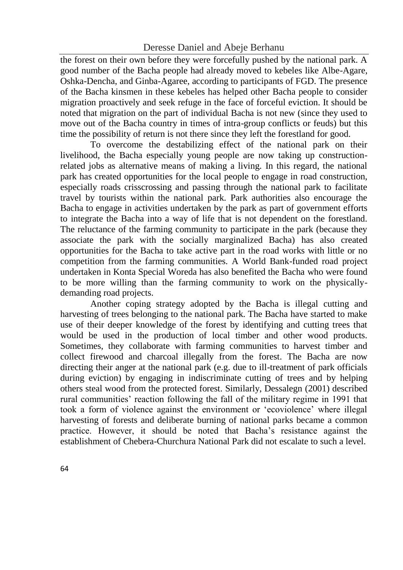the forest on their own before they were forcefully pushed by the national park. A good number of the Bacha people had already moved to kebeles like Albe-Agare, Oshka-Dencha, and Ginba-Agaree, according to participants of FGD. The presence of the Bacha kinsmen in these kebeles has helped other Bacha people to consider migration proactively and seek refuge in the face of forceful eviction. It should be noted that migration on the part of individual Bacha is not new (since they used to move out of the Bacha country in times of intra-group conflicts or feuds) but this time the possibility of return is not there since they left the forestland for good.

To overcome the destabilizing effect of the national park on their livelihood, the Bacha especially young people are now taking up constructionrelated jobs as alternative means of making a living. In this regard, the national park has created opportunities for the local people to engage in road construction, especially roads crisscrossing and passing through the national park to facilitate travel by tourists within the national park. Park authorities also encourage the Bacha to engage in activities undertaken by the park as part of government efforts to integrate the Bacha into a way of life that is not dependent on the forestland. The reluctance of the farming community to participate in the park (because they associate the park with the socially marginalized Bacha) has also created opportunities for the Bacha to take active part in the road works with little or no competition from the farming communities. A World Bank-funded road project undertaken in Konta Special Woreda has also benefited the Bacha who were found to be more willing than the farming community to work on the physicallydemanding road projects.

Another coping strategy adopted by the Bacha is illegal cutting and harvesting of trees belonging to the national park. The Bacha have started to make use of their deeper knowledge of the forest by identifying and cutting trees that would be used in the production of local timber and other wood products. Sometimes, they collaborate with farming communities to harvest timber and collect firewood and charcoal illegally from the forest. The Bacha are now directing their anger at the national park (e.g. due to ill-treatment of park officials during eviction) by engaging in indiscriminate cutting of trees and by helping others steal wood from the protected forest. Similarly, Dessalegn (2001) described rural communities' reaction following the fall of the military regime in 1991 that took a form of violence against the environment or ‗ecoviolence' where illegal harvesting of forests and deliberate burning of national parks became a common practice. However, it should be noted that Bacha's resistance against the establishment of Chebera-Churchura National Park did not escalate to such a level.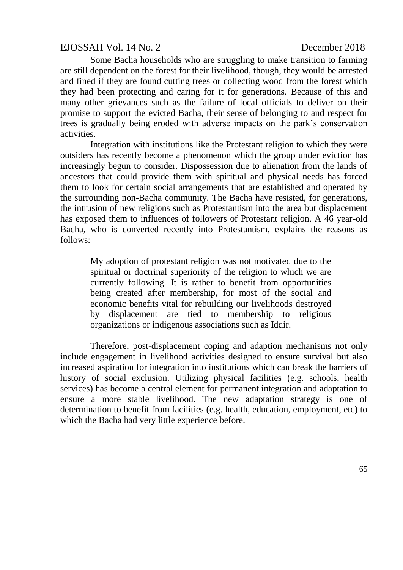Some Bacha households who are struggling to make transition to farming are still dependent on the forest for their livelihood, though, they would be arrested and fined if they are found cutting trees or collecting wood from the forest which they had been protecting and caring for it for generations. Because of this and many other grievances such as the failure of local officials to deliver on their promise to support the evicted Bacha, their sense of belonging to and respect for trees is gradually being eroded with adverse impacts on the park's conservation activities.

Integration with institutions like the Protestant religion to which they were outsiders has recently become a phenomenon which the group under eviction has increasingly begun to consider. Dispossession due to alienation from the lands of ancestors that could provide them with spiritual and physical needs has forced them to look for certain social arrangements that are established and operated by the surrounding non-Bacha community. The Bacha have resisted, for generations, the intrusion of new religions such as Protestantism into the area but displacement has exposed them to influences of followers of Protestant religion. A 46 year-old Bacha, who is converted recently into Protestantism, explains the reasons as follows:

My adoption of protestant religion was not motivated due to the spiritual or doctrinal superiority of the religion to which we are currently following. It is rather to benefit from opportunities being created after membership, for most of the social and economic benefits vital for rebuilding our livelihoods destroyed by displacement are tied to membership to religious organizations or indigenous associations such as Iddir.

Therefore, post-displacement coping and adaption mechanisms not only include engagement in livelihood activities designed to ensure survival but also increased aspiration for integration into institutions which can break the barriers of history of social exclusion. Utilizing physical facilities (e.g. schools, health services) has become a central element for permanent integration and adaptation to ensure a more stable livelihood. The new adaptation strategy is one of determination to benefit from facilities (e.g. health, education, employment, etc) to which the Bacha had very little experience before.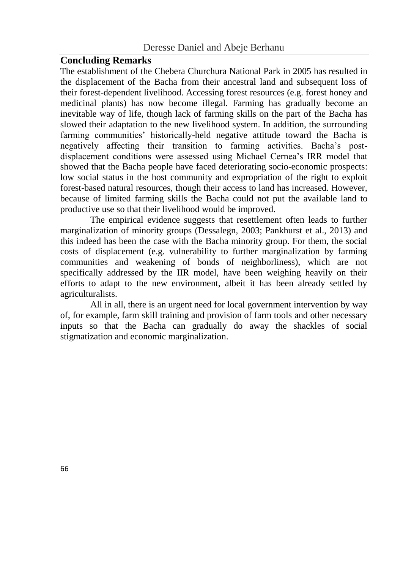# **Concluding Remarks**

The establishment of the Chebera Churchura National Park in 2005 has resulted in the displacement of the Bacha from their ancestral land and subsequent loss of their forest-dependent livelihood. Accessing forest resources (e.g. forest honey and medicinal plants) has now become illegal. Farming has gradually become an inevitable way of life, though lack of farming skills on the part of the Bacha has slowed their adaptation to the new livelihood system. In addition, the surrounding farming communities' historically-held negative attitude toward the Bacha is negatively affecting their transition to farming activities. Bacha's postdisplacement conditions were assessed using Michael Cernea's IRR model that showed that the Bacha people have faced deteriorating socio-economic prospects: low social status in the host community and expropriation of the right to exploit forest-based natural resources, though their access to land has increased. However, because of limited farming skills the Bacha could not put the available land to productive use so that their livelihood would be improved.

The empirical evidence suggests that resettlement often leads to further marginalization of minority groups (Dessalegn, 2003; Pankhurst et al., 2013) and this indeed has been the case with the Bacha minority group. For them, the social costs of displacement (e.g. vulnerability to further marginalization by farming communities and weakening of bonds of neighborliness), which are not specifically addressed by the IIR model, have been weighing heavily on their efforts to adapt to the new environment, albeit it has been already settled by agriculturalists.

All in all, there is an urgent need for local government intervention by way of, for example, farm skill training and provision of farm tools and other necessary inputs so that the Bacha can gradually do away the shackles of social stigmatization and economic marginalization.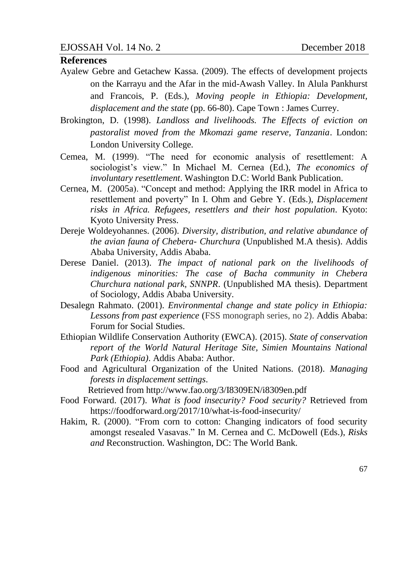# **References**

- Ayalew Gebre and Getachew Kassa. (2009). The effects of development projects on the Karrayu and the Afar in the mid-Awash Valley. In Alula Pankhurst and Francois, P. (Eds.), *Moving people in Ethiopia: Development, displacement and the state* (pp. 66-80). Cape Town : James Currey.
- Brokington, D. (1998). *Landloss and livelihoods. The Effects of eviction on pastoralist moved from the Mkomazi game reserve, Tanzania*. London: London University College.
- Cemea, M. (1999). "The need for economic analysis of resettlement: A sociologist's view." In Michael M. Cernea (Ed.), *The economics of involuntary resettlement*. Washington D.C: World Bank Publication.
- Cernea, M. (2005a). "Concept and method: Applying the IRR model in Africa to resettlement and poverty" In I. Ohm and Gebre Y. (Eds.), *Displacement risks in Africa. Refugees, resettlers and their host population*. Kyoto: Kyoto University Press.
- Dereje Woldeyohannes. (2006). *Diversity, distribution, and relative abundance of the avian fauna of Chebera- Churchura* (Unpublished M.A thesis). Addis Ababa University, Addis Ababa.
- Derese Daniel. (2013). *The impact of national park on the livelihoods of indigenous minorities: The case of Bacha community in Chebera Churchura national park, SNNPR*. (Unpublished MA thesis). Department of Sociology, Addis Ababa University.
- Desalegn Rahmato. (2001). *Environmental change and state policy in Ethiopia: Lessons from past experience* (FSS monograph series, no 2). Addis Ababa: Forum for Social Studies.
- Ethiopian Wildlife Conservation Authority (EWCA). (2015). *State of conservation report of the World Natural Heritage Site, Simien Mountains National Park (Ethiopia)*. Addis Ababa: Author.
- Food and Agricultural Organization of the United Nations. (2018). *Managing forests in displacement settings*.

Retrieved from <http://www.fao.org/3/I8309EN/i8309en.pdf>

- Food Forward. (2017). *What is food insecurity? Food security?* Retrieved from <https://foodforward.org/2017/10/what-is-food-insecurity/>
- Hakim, R. (2000). "From corn to cotton: Changing indicators of food security amongst resealed Vasavas." In M. Cernea and C. McDowell (Eds.), Risks *and* Reconstruction. Washington, DC: The World Bank.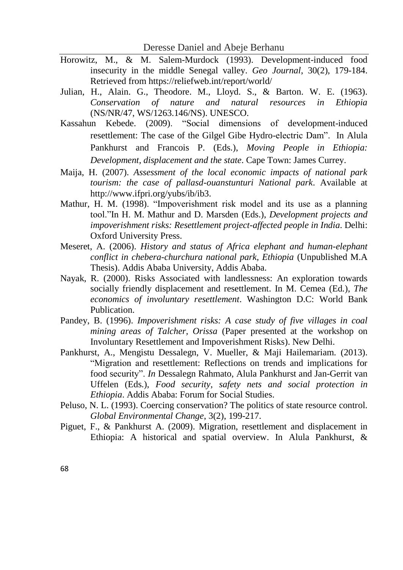- Horowitz, M., & M. Salem-Murdock (1993). Development-induced food insecurity in the middle Senegal valley. *Geo Journal*, 30(2), 179-184. Retrieved fro[m https://reliefweb.int/report/world/](https://reliefweb.int/report/world/)
- Julian, H., Alain. G., Theodore. M., Lloyd. S., & Barton. W. E. (1963). *Conservation of nature and natural resources in Ethiopia* (NS/NR/47, WS/1263.146/NS). UNESCO.
- Kassahun Kebede. (2009). "Social dimensions of development-induced resettlement: The case of the Gilgel Gibe Hydro-electric Dam". In Alula Pankhurst and Francois P. (Eds.), *Moving People in Ethiopia: Development, displacement and the state*. Cape Town: James Currey.
- Maija, H. (2007). *Assessment of the local economic impacts of national park tourism: the case of pallasd-ouanstunturi National park*. Available at http://www.ifpri.org/yubs/ib/ib3.
- Mathur, H. M. (1998). "Impoverishment risk model and its use as a planning tool.‖In H. M. Mathur and D. Marsden (Eds.), *Development projects and impoverishment risks: Resettlement project-affected people in India*. Delhi: Oxford University Press.
- Meseret, A. (2006). *History and status of Africa elephant and human-elephant conflict in chebera-churchura national park, Ethiopia* (Unpublished M.A Thesis). Addis Ababa University, Addis Ababa.
- Nayak, R. (2000). Risks Associated with landlessness: An exploration towards socially friendly displacement and resettlement. In M. Cemea (Ed*.*), *The economics of involuntary resettlement*. Washington D.C: World Bank Publication.
- Pandey, B. (1996). *Impoverishment risks: A case study of five villages in coal mining areas of Talcher, Orissa* (Paper presented at the workshop on Involuntary Resettlement and Impoverishment Risks). New Delhi.
- Pankhurst, A., Mengistu Dessalegn, V. Mueller, & Maji Hailemariam. (2013). ―Migration and resettlement: Reflections on trends and implications for food security". *In Dessalegn Rahmato*, Alula Pankhurst and Jan-Gerrit van Uffelen (Eds.), *Food security, safety nets and social protection in Ethiopia*. Addis Ababa: Forum for Social Studies.
- Peluso, N. L. (1993). Coercing conservation? The politics of state resource control. *Global Environmental Change*, 3(2), 199-217.
- Piguet, F., & Pankhurst A. (2009). Migration, resettlement and displacement in Ethiopia: A historical and spatial overview. In Alula Pankhurst, &